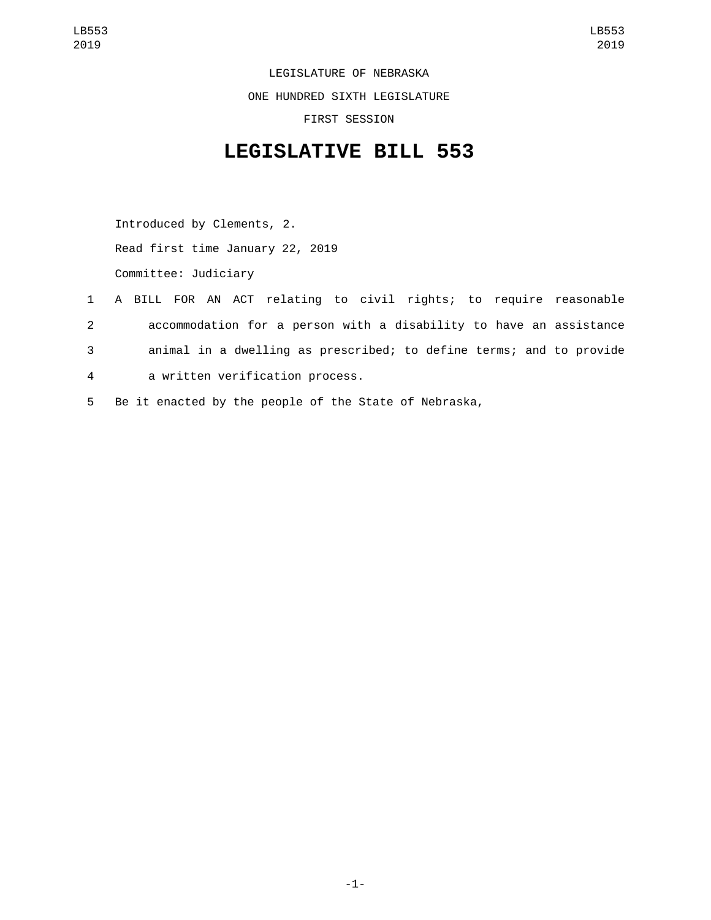LEGISLATURE OF NEBRASKA

ONE HUNDRED SIXTH LEGISLATURE

FIRST SESSION

## **LEGISLATIVE BILL 553**

Introduced by Clements, 2. Read first time January 22, 2019

Committee: Judiciary

- 1 A BILL FOR AN ACT relating to civil rights; to require reasonable 2 accommodation for a person with a disability to have an assistance 3 animal in a dwelling as prescribed; to define terms; and to provide a written verification process.4
- 5 Be it enacted by the people of the State of Nebraska,